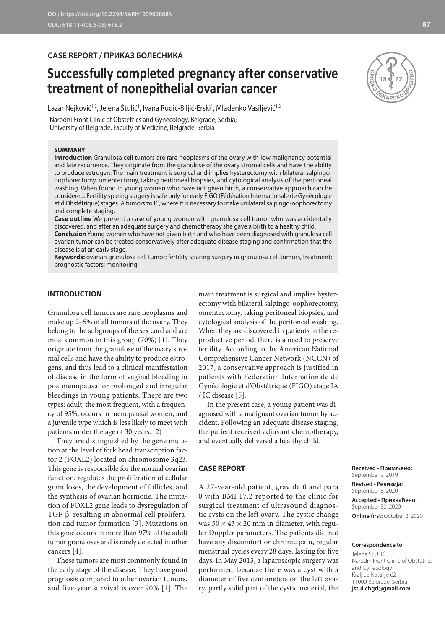# **CASE REPORT / ПРИКАЗ БОЛЕСНИКА**

# **Successfully completed pregnancy after conservative treatment of nonepithelial ovarian cancer**

Lazar Nejković $^{1,2}$ , Jelena Stulić $^{1}$ , Ivana Rudić-Biljić-Erski', Mladenko Vasiljević $^{1,2}$ 

1 Narodni Front Clinic of Obstetrics and Gynecology, Belgrade, Serbia; 2 University of Belgrade, Faculty of Medicine, Belgrade, Serbia

#### **SUMMARY**

**Introduction** Granulosa cell tumors are rare neoplasms of the ovary with low malignancy potential and late recurrence. They originate from the granulose of the ovary stromal cells and have the ability to produce estrogen. The main treatment is surgical and implies hysterectomy with bilateral salpingooophorectomy, omentectomy, taking peritoneal biopsies, and cytological analysis of the peritoneal washing. When found in young women who have not given birth, a conservative approach can be considered. Fertility sparing surgery is safe only for early FIGO (Fédération Internationale de Gynécologie et d'Obstétrique) stages IA tumors то IC, where it is necessary to make unilateral salpingo-oophorectomy and complete staging.

**Case outline** We present a case of young woman with granulosa cell tumor who was accidentally discovered, and after an adequate surgery and chemotherapy she gave a birth to a healthy child.

**Conclusion** Young women who have not given birth and who have been diagnosed with granulosa cell ovarian tumor can be treated conservatively after adequate disease staging and confirmation that the disease is at an early stage.

**Keywords:** ovarian granulosa cell tumor; fertility sparing surgery in granulosa cell tumors, treatment; prognostic factors; monitoring

# **INTRODUCTION**

Granulosa cell tumors are rare neoplasms and make up 2–5% of all tumors of the ovary. They belong to the subgroups of the sex cord and are most common in this group (70%) [1]. They originate from the granulose of the ovary stromal cells and have the ability to produce estrogens, and thus lead to a clinical manifestation of disease in the form of vaginal bleeding in postmenopausal or prolonged and irregular bleedings in young patients. There are two types: adult, the most frequent, with a frequency of 95%, occurs in menopausal women, and a juvenile type which is less likely to meet with patients under the age of 30 years. [2]

They are distinguished by the gene mutation at the level of fork head transcription factor 2 (FOXL2) located on chromosome 3q23. This gene is responsible for the normal ovarian function, regulates the proliferation of cellular granuloses, the development of follicles, and the synthesis of ovarian hormone. The mutation of FOXL2 gene leads to dysregulation of TGF-β, resulting in abnormal cell proliferation and tumor formation [3]. Mutations on this gene occurs in more than 97% of the adult tumor granuloses and is rarely detected in other cancers [4].

These tumors are most commonly found in the early stage of the disease. They have good prognosis compared to other ovarian tumors, and five-year survival is over 90% [1]. The

main treatment is surgical and implies hysterectomy with bilateral salpingo-oophorectomy, omentectomy, taking peritoneal biopsies, and cytological analysis of the peritoneal washing. When they are discovered in patients in the reproductive period, there is a need to preserve fertility. According to the American National Comprehensive Cancer Network (NCCN) of 2017, a conservative approach is justified in patients with Fédération Internationale de Gynécologie et d'Obstétrique (FIGO) stage IA / IC disease [5].

In the present case, a young patient was diagnosed with a malignant ovarian tumor by accident. Following an adequate disease staging, the patient received adjuvant chemotherapy, and eventually delivered a healthy child.

## **CASE REPORT**

A 27-year-old patient, gravida 0 and para 0 with BMI 17.2 reported to the clinic for surgical treatment of ultrasound diagnostic cysts on the left ovary. The cystic change was  $50 \times 43 \times 20$  mm in diameter, with regular Doppler parameters. The patients did not have any discomfort or chronic pain, regular menstrual cycles every 28 days, lasting for five days. In May 2013, a laparoscopic surgery was performed, because there was a cyst with a diameter of five centimeters on the left ovary, partly solid part of the cystic material, the

**Received • Примљено:**  September 9, 2019

**Revised • Ревизија:**  September 8, 2020 **Accepted • Прихваћено:** September 30, 2020 **Online first:** October 2, 2020

#### **Correspondence to:**

Jelena ŠTULIĆ Narodni Front Clinic of Obstetrics and Gynecology Kraljice Natalije 62 11000 Belgrade, Serbia **jstulicbgd@gmail.com**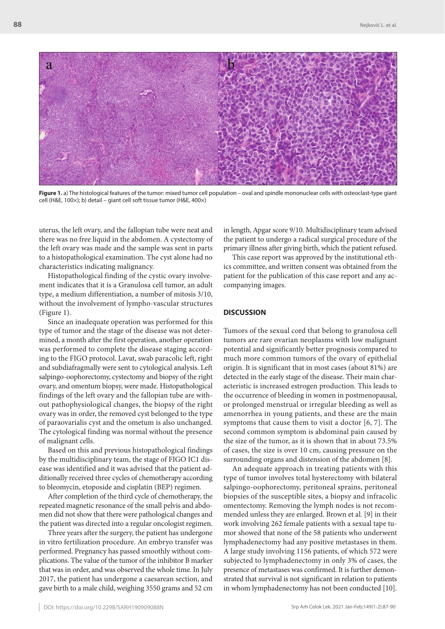

**Figure 1.** a) The histological features of the tumor: mixed tumor cell population – oval and spindle mononuclear cells with osteoclast-type giant cell (H&E, 100×); b) detail – giant cell soft tissue tumor (H&E, 400×)

uterus, the left ovary, and the fallopian tube were neat and there was no free liquid in the abdomen. A cystectomy of the left ovary was made and the sample was sent in parts to a histopathological examination. The cyst alone had no characteristics indicating malignancy.

Histopathological finding of the cystic ovary involvement indicates that it is a Granulosa cell tumor, an adult type, a medium differentiation, a number of mitosis 3/10, without the involvement of lympho-vascular structures (Figure 1).

Since an inadequate operation was performed for this type of tumor and the stage of the disease was not determined, a month after the first operation, another operation was performed to complete the disease staging according to the FIGO protocol. Lavat, swab paracolic left, right and subdiafragmally were sent to cytological analysis. Left salpingo-oophorectomy, cystectomy and biopsy of the right ovary, and omentum biopsy, were made. Histopathological findings of the left ovary and the fallopian tube are without pathophysiological changes, the biopsy of the right ovary was in order, the removed cyst belonged to the type of paraovarialis cyst and the ometum is also unchanged. The cytological finding was normal without the presence of malignant cells.

Based on this and previous histopathological findings by the multidisciplinary team, the stage of FIGO IC1 disease was identified and it was advised that the patient additionally received three cycles of chemotherapy according to bleomycin, etoposide and cisplatin (BEP) regimen.

After completion of the third cycle of chemotherapy, the repeated magnetic resonance of the small pelvis and abdomen did not show that there were pathological changes and the patient was directed into a regular oncologist regimen.

Three years after the surgery, the patient has undergone in vitro fertilization procedure. An embryo transfer was performed. Pregnancy has passed smoothly without complications. The value of the tumor of the inhibitor B marker that was in order, and was observed the whole time. In July 2017, the patient has undergone a caesarean section, and gave birth to a male child, weighing 3550 grams and 52 cm

in length, Apgar score 9/10. Multidisciplinary team advised the patient to undergo a radical surgical procedure of the primary illness after giving birth, which the patient refused.

This case report was approved by the institutional ethics committee, and written consent was obtained from the patient for the publication of this case report and any accompanying images.

#### **DISCUSSION**

Tumors of the sexual cord that belong to granulosa cell tumors are rare ovarian neoplasms with low malignant potential and significantly better prognosis compared to much more common tumors of the ovary of epithelial origin. It is significant that in most cases (about 81%) are detected in the early stage of the disease. Their main characteristic is increased estrogen production. This leads to the occurrence of bleeding in women in postmenopausal, or prolonged menstrual or irregular bleeding as well as amenorrhea in young patients, and these are the main symptoms that cause them to visit a doctor [6, 7]. The second common symptom is abdominal pain caused by the size of the tumor, as it is shown that in about 73.5% of cases, the size is over 10 cm, causing pressure on the surrounding organs and distension of the abdomen [8].

An adequate approach in treating patients with this type of tumor involves total hysterectomy with bilateral salpingo-oophorectomy, peritoneal sprains, peritoneal biopsies of the susceptible sites, a biopsy and infracolic omentectomy. Removing the lymph nodes is not recommended unless they are enlarged. Brown et al. [9] in their work involving 262 female patients with a sexual tape tumor showed that none of the 58 patients who underwent lymphadenectomy had any positive metastases in them. A large study involving 1156 patients, of which 572 were subjected to lymphadenectomy in only 3% of cases, the presence of metastases was confirmed. It is further demonstrated that survival is not significant in relation to patients in whom lymphadenectomy has not been conducted [10].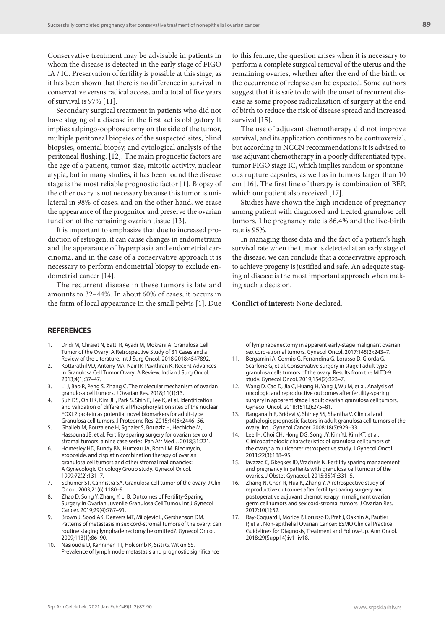Conservative treatment may be advisable in patients in whom the disease is detected in the early stage of FIGO IA / IC. Preservation of fertility is possible at this stage, as it has been shown that there is no difference in survival in conservative versus radical access, and a total of five years of survival is 97% [11].

Secondary surgical treatment in patients who did not have staging of a disease in the first act is obligatory It implies salpingo-oophorectomy on the side of the tumor, multiple peritoneal biopsies of the suspected sites, blind biopsies, omental biopsy, and cytological analysis of the peritoneal flushing. [12]. The main prognostic factors are the age of a patient, tumor size, mitotic activity, nuclear atypia, but in many studies, it has been found the disease stage is the most reliable prognostic factor [1]. Biopsy of the other ovary is not necessary because this tumor is unilateral in 98% of cases, and on the other hand, we erase the appearance of the progenitor and preserve the ovarian function of the remaining ovarian tissue [13].

It is important to emphasize that due to increased production of estrogen, it can cause changes in endometrium and the appearance of hyperplasia and endometrial carcinoma, and in the case of a conservative approach it is necessary to perform endometrial biopsy to exclude endometrial cancer [14].

The recurrent disease in these tumors is late and amounts to 32–44%. In about 60% of cases, it occurs in the form of local appearance in the small pelvis [1]. Due

#### **REFERENCES**

- 1. Dridi M, Chraiet N, Batti R, Ayadi M, Mokrani A. Granulosa Cell Tumor of the Ovary: A Retrospective Study of 31 Cases and a Review of the Literature. Int J Surg Oncol. 2018;2018:4547892.
- 2. Kottarathil VD, Antony MA, Nair IR, Pavithran K. Recent Advances in Granulosa Cell Tumor Ovary: A Review. Indian J Surg Oncol. 2013;4(1):37–47.
- 3. Li J, Bao R, Peng S, Zhang C. The molecular mechanism of ovarian granulosa cell tumors. J Ovarian Res. 2018;11(1):13.
- Suh DS, Oh HK, Kim JH, Park S, Shin E, Lee K, et al. Identification and validation of differential Phosphorylation sites of the nuclear FOXL2 protein as potential novel biomarkers for adult-type Granulosa cell tumors. J Proteome Res. 2015;14(6):2446–56.
- 5. Ghalleb M, Bouzaiene H, Sghaier S, Bouaziz H, Hechiche M, Hassouna JB, et al. Fertility sparing surgery for ovarian sex cord stromal tumors: a nine case series. Pan Afr Med J. 2018;31:221.
- 6. Homesley HD, Bundy BN, Hurteau JA, Roth LM. Bleomycin, etoposide, and cisplatin combination therapy of ovarian granulosa cell tumors and other stromal malignancies: A Gynecologic Oncology Group study. Gynecol Oncol. 1999;72(2):131–7.
- 7. Schumer ST, Cannistra SA. Granulosa cell tumor of the ovary. J Clin Oncol. 2003;21(6):1180–9.
- 8. Zhao D, Song Y, Zhang Y, Li B. Outcomes of Fertility-Sparing Surgery in Ovarian Juvenile Granulosa Cell Tumor. Int J Gynecol Cancer. 2019;29(4):787–91.
- 9. Brown J, Sood AK, Deavers MT, Milojevic L, Gershenson DM. Patterns of metastasis in sex cord-stromal tumors of the ovary: can routine staging lymphadenectomy be omitted?. Gynecol Oncol. 2009;113(1):86–90.
- 10. Nasioudis D, Kanninen TT, Holcomb K, Sisti G, Witkin SS. Prevalence of lymph node metastasis and prognostic significance

to this feature, the question arises when it is necessary to perform a complete surgical removal of the uterus and the remaining ovaries, whether after the end of the birth or the occurrence of relapse can be expected. Some authors suggest that it is safe to do with the onset of recurrent disease as some propose radicalization of surgery at the end of birth to reduce the risk of disease spread and increased survival [15].

The use of adjuvant chemotherapy did not improve survival, and its application continues to be controversial, but according to NCCN recommendations it is advised to use adjuvant chemotherapy in a poorly differentiated type, tumor FIGO stage IC, which implies random or spontaneous rupture capsules, as well as in tumors larger than 10 cm [16]. The first line of therapy is combination of BEP, which our patient also received [17].

Studies have shown the high incidence of pregnancy among patient with diagnosed and treated granulose cell tumors. The pregnancy rate is 86.4% and the live-birth rate is 95%.

In managing these data and the fact of a patient's high survival rate when the tumor is detected at an early stage of the disease, we can conclude that a conservative approach to achieve progeny is justified and safe. An adequate staging of disease is the most important approach when making such a decision.

### **Conflict of interest:** None declared.

of lymphadenectomy in apparent early-stage malignant ovarian sex cord-stromal tumors. Gynecol Oncol. 2017;145(2):243–7.

- Bergamini A, Cormio G, Ferrandina G, Lorusso D, Giorda G, Scarfone G, et al. Conservative surgery in stage I adult type granulosa cells tumors of the ovary: Results from the MITO-9 study. Gynecol Oncol. 2019;154(2):323–7.
- 12. Wang D, Cao D, Jia C, Huang H, Yang J, Wu M, et al. Analysis of oncologic and reproductive outcomes after fertility-sparing surgery in apparent stage I adult ovarian granulosa cell tumors. Gynecol Oncol. 2018;151(2):275–81.
- 13. Ranganath R, Sridevi V, Shirley SS, Shantha V. Clinical and pathologic prognostic factors in adult granulosa cell tumors of the ovary. Int J Gynecol Cancer. 2008;18(5):929–33.
- 14. Lee IH, Choi CH, Hong DG, Song JY, Kim YJ, Kim KT, et al. Clinicopathologic characteristics of granulosa cell tumors of the ovary: a multicenter retrospective study. J Gynecol Oncol. 2011;22(3):188–95.
- 15. Iavazzo C, Gkegkes ID, Vrachnis N. Fertility sparing management and pregnancy in patients with granulosa cell tumour of the ovaries. J Obstet Gynaecol. 2015;35(4):331–5.
- 16. Zhang N, Chen R, Hua K, Zhang Y. A retrospective study of reproductive outcomes after fertility-sparing surgery and postoperative adjuvant chemotherapy in malignant ovarian germ cell tumors and sex cord-stromal tumors. J Ovarian Res. 2017;10(1):52.
- 17. Ray-Coquard I, Morice P, Lorusso D, Prat J, Oaknin A, Pautier P, et al. Non-epithelial Ovarian Cancer: ESMO Clinical Practice Guidelines for Diagnosis, Treatment and Follow-Up. Ann Oncol. 2018;29(Suppl 4):iv1–iv18.